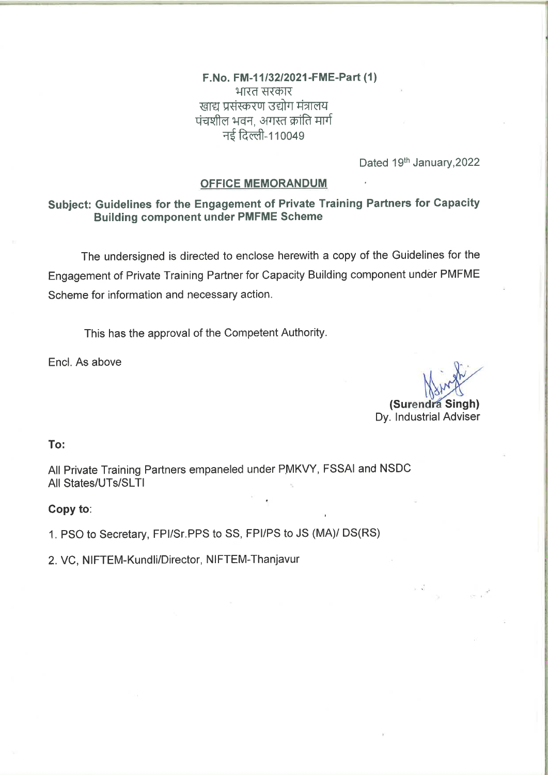# F.No. FM-11/32/2021-FME-Part (1) भारत सरकार खाद्य प्रसंस्करण उद्योग मंत्रालय पंचशील भवन, अगस्त क्रांति मार्ग नई दिल्ली-110049

Dated 19th January, 2022

#### **OFFICE MEMORANDUM**

## Subject: Guidelines for the Engagement of Private Training Partners for Capacity **Building component under PMFME Scheme**

The undersigned is directed to enclose herewith a copy of the Guidelines for the Engagement of Private Training Partner for Capacity Building component under PMFME Scheme for information and necessary action.

This has the approval of the Competent Authority.

Encl. As above

(Surendra Singh) Dy. Industrial Adviser

To:

All Private Training Partners empaneled under PMKVY, FSSAI and NSDC All States/UTs/SLTI

Copy to:

1. PSO to Secretary, FPI/Sr.PPS to SS, FPI/PS to JS (MA)/ DS(RS)

2. VC, NIFTEM-Kundli/Director, NIFTEM-Thanjavur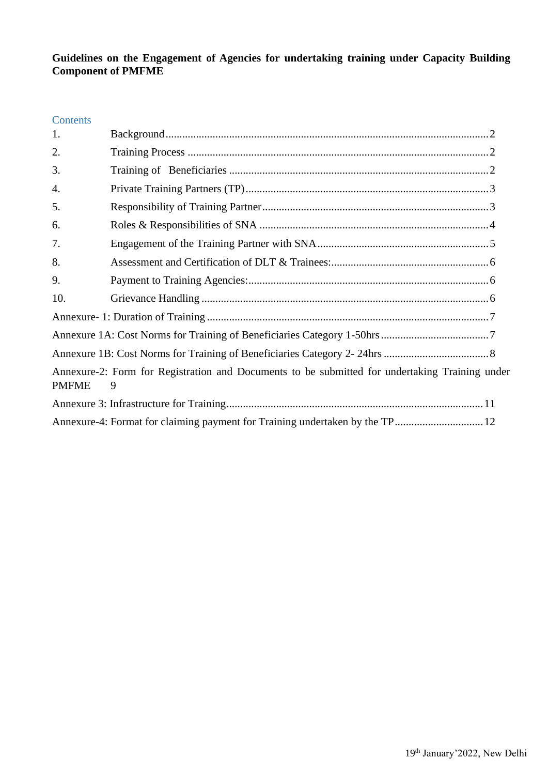# **Guidelines on the Engagement of Agencies for undertaking training under Capacity Building Component of PMFME**

## **Contents**

| 1.           |                                                                                                     |  |
|--------------|-----------------------------------------------------------------------------------------------------|--|
| 2.           |                                                                                                     |  |
| 3.           |                                                                                                     |  |
| 4.           |                                                                                                     |  |
| 5.           |                                                                                                     |  |
| 6.           |                                                                                                     |  |
| 7.           |                                                                                                     |  |
| 8.           |                                                                                                     |  |
| 9.           |                                                                                                     |  |
| 10.          |                                                                                                     |  |
|              |                                                                                                     |  |
|              |                                                                                                     |  |
|              |                                                                                                     |  |
| <b>PMFME</b> | Annexure-2: Form for Registration and Documents to be submitted for undertaking Training under<br>9 |  |
|              |                                                                                                     |  |
|              |                                                                                                     |  |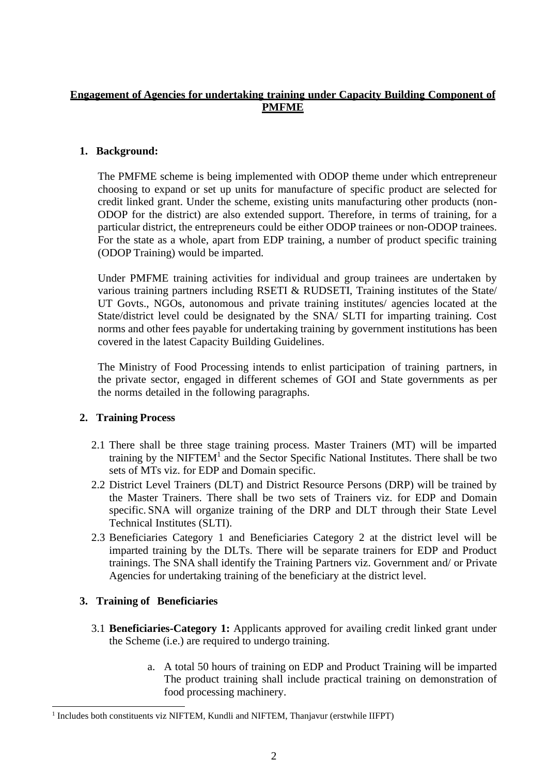## **Engagement of Agencies for undertaking training under Capacity Building Component of PMFME**

## <span id="page-2-0"></span>**1. Background:**

The PMFME scheme is being implemented with ODOP theme under which entrepreneur choosing to expand or set up units for manufacture of specific product are selected for credit linked grant. Under the scheme, existing units manufacturing other products (non-ODOP for the district) are also extended support. Therefore, in terms of training, for a particular district, the entrepreneurs could be either ODOP trainees or non-ODOP trainees. For the state as a whole, apart from EDP training, a number of product specific training (ODOP Training) would be imparted.

Under PMFME training activities for individual and group trainees are undertaken by various training partners including RSETI & RUDSETI, Training institutes of the State/ UT Govts., NGOs, autonomous and private training institutes/ agencies located at the State/district level could be designated by the SNA/ SLTI for imparting training. Cost norms and other fees payable for undertaking training by government institutions has been covered in the latest Capacity Building Guidelines.

The Ministry of Food Processing intends to enlist participation of training partners, in the private sector, engaged in different schemes of GOI and State governments as per the norms detailed in the following paragraphs.

## <span id="page-2-1"></span>**2. Training Process**

- 2.1 There shall be three stage training process. Master Trainers (MT) will be imparted training by the NIFTEM<sup>1</sup> and the Sector Specific National Institutes. There shall be two sets of MTs viz. for EDP and Domain specific.
- 2.2 District Level Trainers (DLT) and District Resource Persons (DRP) will be trained by the Master Trainers. There shall be two sets of Trainers viz. for EDP and Domain specific. SNA will organize training of the DRP and DLT through their State Level Technical Institutes (SLTI).
- 2.3 Beneficiaries Category 1 and Beneficiaries Category 2 at the district level will be imparted training by the DLTs. There will be separate trainers for EDP and Product trainings. The SNA shall identify the Training Partners viz. Government and/ or Private Agencies for undertaking training of the beneficiary at the district level.

## <span id="page-2-2"></span>**3. Training of Beneficiaries**

- 3.1 **Beneficiaries-Category 1:** Applicants approved for availing credit linked grant under the Scheme (i.e.) are required to undergo training.
	- a. A total 50 hours of training on EDP and Product Training will be imparted The product training shall include practical training on demonstration of food processing machinery.

<sup>&</sup>lt;sup>1</sup> Includes both constituents viz NIFTEM, Kundli and NIFTEM, Thanjavur (erstwhile IIFPT)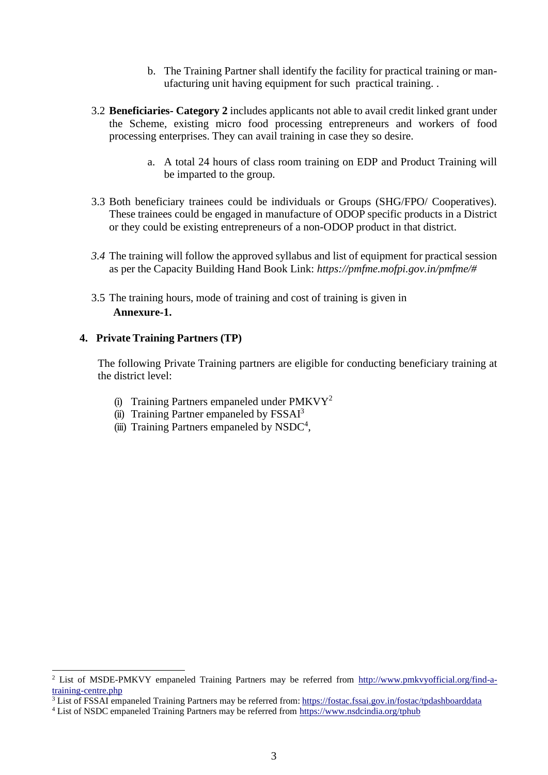- b. The Training Partner shall identify the facility for practical training or manufacturing unit having equipment for such practical training. .
- 3.2 **Beneficiaries- Category 2** includes applicants not able to avail credit linked grant under the Scheme, existing micro food processing entrepreneurs and workers of food processing enterprises. They can avail training in case they so desire.
	- a. A total 24 hours of class room training on EDP and Product Training will be imparted to the group.
- 3.3 Both beneficiary trainees could be individuals or Groups (SHG/FPO/ Cooperatives). These trainees could be engaged in manufacture of ODOP specific products in a District or they could be existing entrepreneurs of a non-ODOP product in that district.
- *3.4* The training will follow the approved syllabus and list of equipment for practical session as per the Capacity Building Hand Book Link: *[https://pmfme.mofpi.gov.in/pmfme/#](https://pmfme.mofpi.gov.in/pmfme/)*
- 3.5 The training hours, mode of training and cost of training is given in **Annexure-1.**

## <span id="page-3-0"></span>**4. Private Training Partners (TP)**

The following Private Training partners are eligible for conducting beneficiary training at the district level:

- (i) Training Partners empaneled under  $PMKVY^2$
- (ii) Training Partner empaneled by  $FSSAI<sup>3</sup>$
- (iii) Training Partners empaneled by  $NSDC<sup>4</sup>$ ,

<sup>2</sup> List of MSDE-PMKVY empaneled Training Partners may be referred from [http://www.pmkvyofficial.org/find-a](http://www.pmkvyofficial.org/find-a-training-centre.php)[training-centre.php](http://www.pmkvyofficial.org/find-a-training-centre.php)

 $\frac{3}{3}$  List of FSSAI empaneled Training Partners may be referred from: <https://fostac.fssai.gov.in/fostac/tpdashboarddata>

<sup>4</sup> List of NSDC empaneled Training Partners may be referred from <https://www.nsdcindia.org/tphub>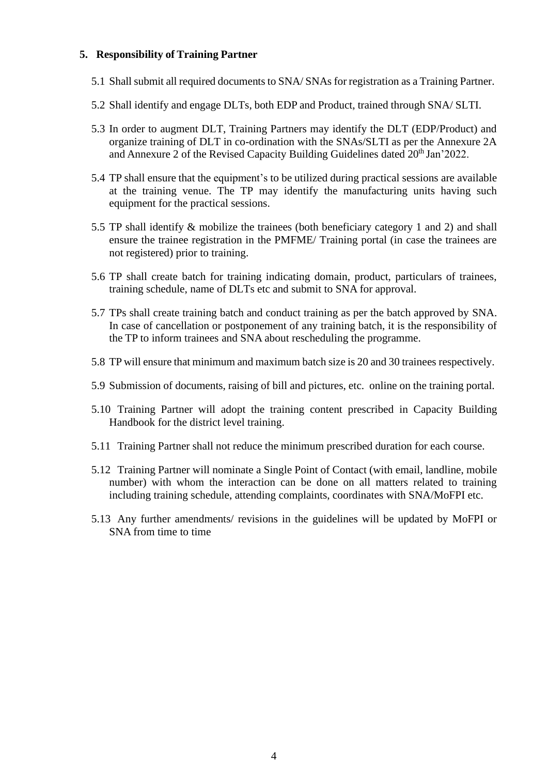## <span id="page-4-0"></span>**5. Responsibility of Training Partner**

- 5.1 Shall submit all required documents to SNA/ SNAs for registration as a Training Partner.
- 5.2 Shall identify and engage DLTs, both EDP and Product, trained through SNA/ SLTI.
- 5.3 In order to augment DLT, Training Partners may identify the DLT (EDP/Product) and organize training of DLT in co-ordination with the SNAs/SLTI as per the Annexure 2A and Annexure 2 of the Revised Capacity Building Guidelines dated 20<sup>th</sup> Jan'2022.
- 5.4 TP shall ensure that the equipment's to be utilized during practical sessions are available at the training venue. The TP may identify the manufacturing units having such equipment for the practical sessions.
- 5.5 TP shall identify & mobilize the trainees (both beneficiary category 1 and 2) and shall ensure the trainee registration in the PMFME/ Training portal (in case the trainees are not registered) prior to training.
- 5.6 TP shall create batch for training indicating domain, product, particulars of trainees, training schedule, name of DLTs etc and submit to SNA for approval.
- 5.7 TPs shall create training batch and conduct training as per the batch approved by SNA. In case of cancellation or postponement of any training batch, it is the responsibility of the TP to inform trainees and SNA about rescheduling the programme.
- 5.8 TP will ensure that minimum and maximum batch size is 20 and 30 trainees respectively.
- 5.9 Submission of documents, raising of bill and pictures, etc. online on the training portal.
- 5.10 Training Partner will adopt the training content prescribed in Capacity Building Handbook for the district level training.
- 5.11 Training Partner shall not reduce the minimum prescribed duration for each course.
- 5.12 Training Partner will nominate a Single Point of Contact (with email, landline, mobile number) with whom the interaction can be done on all matters related to training including training schedule, attending complaints, coordinates with SNA/MoFPI etc.
- 5.13 Any further amendments/ revisions in the guidelines will be updated by MoFPI or SNA from time to time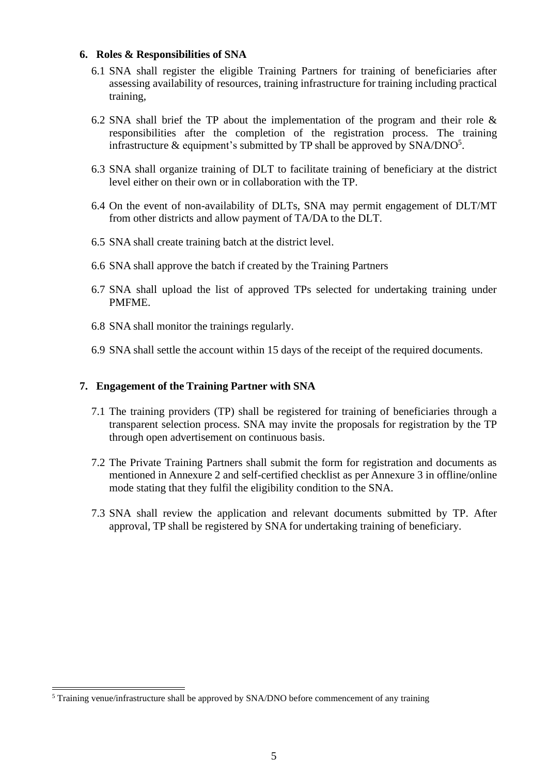#### <span id="page-5-0"></span>**6. Roles & Responsibilities of SNA**

- 6.1 SNA shall register the eligible Training Partners for training of beneficiaries after assessing availability of resources, training infrastructure for training including practical training,
- 6.2 SNA shall brief the TP about the implementation of the program and their role  $\&$ responsibilities after the completion of the registration process. The training infrastructure & equipment's submitted by TP shall be approved by  $\text{SNA}/\text{DNO}^5$ .
- 6.3 SNA shall organize training of DLT to facilitate training of beneficiary at the district level either on their own or in collaboration with the TP.
- 6.4 On the event of non-availability of DLTs, SNA may permit engagement of DLT/MT from other districts and allow payment of TA/DA to the DLT.
- 6.5 SNA shall create training batch at the district level.
- 6.6 SNA shall approve the batch if created by the Training Partners
- 6.7 SNA shall upload the list of approved TPs selected for undertaking training under PMFME.
- 6.8 SNA shall monitor the trainings regularly.
- 6.9 SNA shall settle the account within 15 days of the receipt of the required documents.

#### <span id="page-5-1"></span>**7. Engagement of the Training Partner with SNA**

- 7.1 The training providers (TP) shall be registered for training of beneficiaries through a transparent selection process. SNA may invite the proposals for registration by the TP through open advertisement on continuous basis.
- 7.2 The Private Training Partners shall submit the form for registration and documents as mentioned in Annexure 2 and self-certified checklist as per Annexure 3 in offline/online mode stating that they fulfil the eligibility condition to the SNA.
- 7.3 SNA shall review the application and relevant documents submitted by TP. After approval, TP shall be registered by SNA for undertaking training of beneficiary.

<sup>5</sup> Training venue/infrastructure shall be approved by SNA/DNO before commencement of any training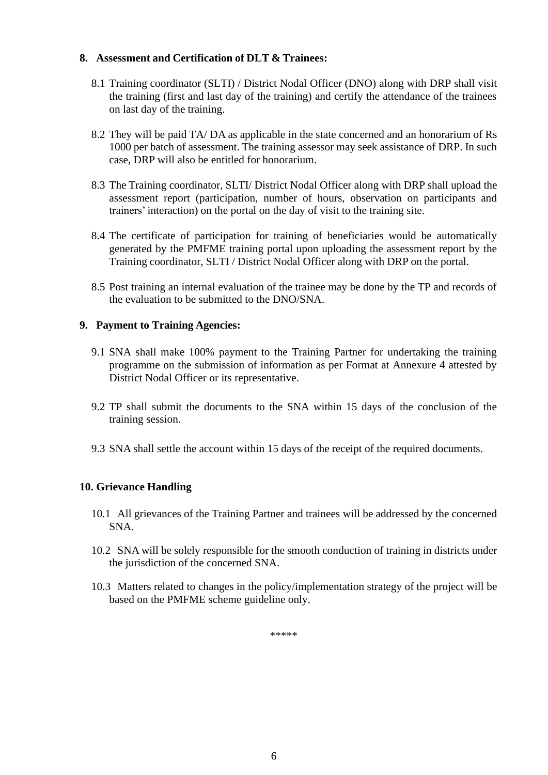#### <span id="page-6-0"></span>**8. Assessment and Certification of DLT & Trainees:**

- 8.1 Training coordinator (SLTI) / District Nodal Officer (DNO) along with DRP shall visit the training (first and last day of the training) and certify the attendance of the trainees on last day of the training.
- 8.2 They will be paid TA/ DA as applicable in the state concerned and an honorarium of Rs 1000 per batch of assessment. The training assessor may seek assistance of DRP. In such case, DRP will also be entitled for honorarium.
- 8.3 The Training coordinator, SLTI/ District Nodal Officer along with DRP shall upload the assessment report (participation, number of hours, observation on participants and trainers' interaction) on the portal on the day of visit to the training site.
- 8.4 The certificate of participation for training of beneficiaries would be automatically generated by the PMFME training portal upon uploading the assessment report by the Training coordinator, SLTI / District Nodal Officer along with DRP on the portal.
- 8.5 Post training an internal evaluation of the trainee may be done by the TP and records of the evaluation to be submitted to the DNO/SNA.

## <span id="page-6-1"></span>**9. Payment to Training Agencies:**

- 9.1 SNA shall make 100% payment to the Training Partner for undertaking the training programme on the submission of information as per Format at Annexure 4 attested by District Nodal Officer or its representative.
- 9.2 TP shall submit the documents to the SNA within 15 days of the conclusion of the training session.
- 9.3 SNA shall settle the account within 15 days of the receipt of the required documents.

## <span id="page-6-2"></span>**10. Grievance Handling**

- 10.1 All grievances of the Training Partner and trainees will be addressed by the concerned SNA.
- 10.2 SNA will be solely responsible for the smooth conduction of training in districts under the jurisdiction of the concerned SNA.
- 10.3 Matters related to changes in the policy/implementation strategy of the project will be based on the PMFME scheme guideline only.

\*\*\*\*\*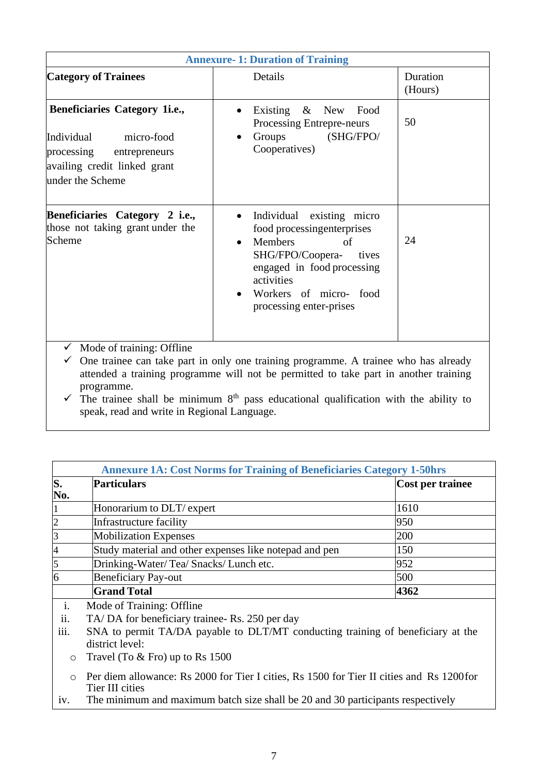<span id="page-7-0"></span>

| <b>Annexure-1: Duration of Training</b>                                                                                                   |                                                                                                                                                                                                                     |                     |  |  |
|-------------------------------------------------------------------------------------------------------------------------------------------|---------------------------------------------------------------------------------------------------------------------------------------------------------------------------------------------------------------------|---------------------|--|--|
| <b>Category of Trainees</b>                                                                                                               | Details                                                                                                                                                                                                             | Duration<br>(Hours) |  |  |
| Beneficiaries Category 1i.e.,<br>Individual<br>micro-food<br>processing entrepreneurs<br>availing credit linked grant<br>under the Scheme | Existing $\&$ New<br>Food<br>Processing Entrepre-neurs<br>Groups (SHG/FPO/<br>Cooperatives)                                                                                                                         | 50                  |  |  |
| Beneficiaries Category 2 i.e.,<br>those not taking grant under the<br>Scheme                                                              | Individual existing micro<br>food processingenterprises<br>Members<br>of<br>$\bullet$<br>SHG/FPO/Coopera-<br>tives<br>engaged in food processing<br>activities<br>Workers of micro- food<br>processing enter-prises | 24                  |  |  |
| Mode of training: Offline<br>$\checkmark$<br>$\checkmark$<br>programme.                                                                   | One trainee can take part in only one training programme. A trainee who has already<br>attended a training programme will not be permitted to take part in another training                                         |                     |  |  |

 $\checkmark$  The trainee shall be minimum  $8<sup>th</sup>$  pass educational qualification with the ability to speak, read and write in Regional Language.

<span id="page-7-1"></span>

|                   | <b>Annexure 1A: Cost Norms for Training of Beneficiaries Category 1-50hrs</b>   |                  |  |  |  |
|-------------------|---------------------------------------------------------------------------------|------------------|--|--|--|
| S.<br>No.         | <b>Particulars</b>                                                              | Cost per trainee |  |  |  |
|                   | Honorarium to DLT/ expert                                                       | 1610             |  |  |  |
| $\overline{c}$    | Infrastructure facility                                                         | 950              |  |  |  |
| 3                 | <b>Mobilization Expenses</b>                                                    | 200              |  |  |  |
| $\overline{4}$    | Study material and other expenses like notepad and pen                          | 150              |  |  |  |
| 5                 | Drinking-Water/Tea/Snacks/Lunch etc.                                            | 952              |  |  |  |
| 6                 | <b>Beneficiary Pay-out</b>                                                      | 500              |  |  |  |
|                   | <b>Grand Total</b>                                                              | 4362             |  |  |  |
| i.                | Mode of Training: Offline                                                       |                  |  |  |  |
| $\overline{11}$ . | TA/DA for beneficiary trainee-Rs. 250 per day                                   |                  |  |  |  |
| iii.              | SNA to permit TA/DA payable to DLT/MT conducting training of beneficiary at the |                  |  |  |  |
|                   | district level:                                                                 |                  |  |  |  |
| $\circ$           | Travel (To $&$ Fro) up to Rs 1500                                               |                  |  |  |  |

- o Per diem allowance: Rs 2000 for Tier I cities, Rs 1500 for Tier II cities and Rs 1200for Tier III cities
- iv. The minimum and maximum batch size shall be 20 and 30 participants respectively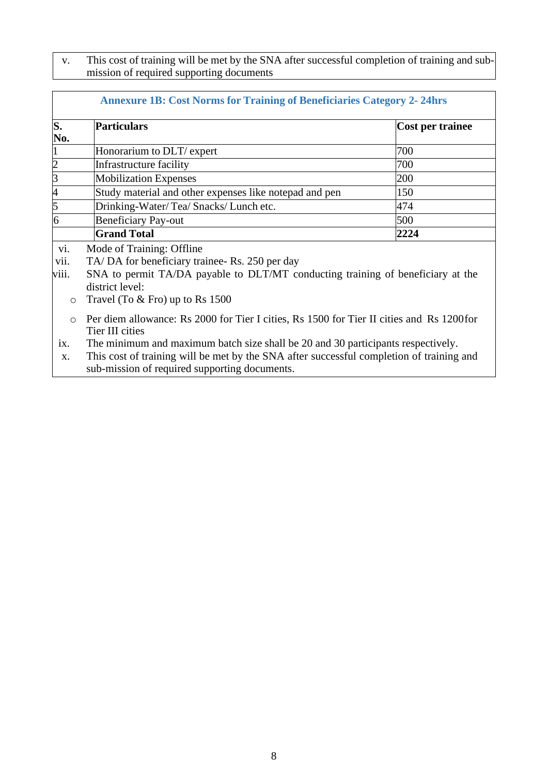v. This cost of training will be met by the SNA after successful completion of training and submission of required supporting documents

<span id="page-8-0"></span>

| S.<br>No.      | <b>Particulars</b>                                                                                 | Cost per trainee |
|----------------|----------------------------------------------------------------------------------------------------|------------------|
|                | Honorarium to DLT/ expert                                                                          | 700              |
| $\overline{c}$ | Infrastructure facility                                                                            | 700              |
| 3              | <b>Mobilization Expenses</b>                                                                       | 200              |
| 4              | Study material and other expenses like notepad and pen                                             | 150              |
| 5              | Drinking-Water/Tea/Snacks/Lunch etc.                                                               | 474              |
| 6              | <b>Beneficiary Pay-out</b>                                                                         | 500              |
|                | <b>Grand Total</b>                                                                                 | 2224             |
| vi.            | Mode of Training: Offline                                                                          |                  |
| vii.           | TA/DA for beneficiary trainee-Rs. 250 per day                                                      |                  |
| viii.          | SNA to permit TA/DA payable to DLT/MT conducting training of beneficiary at the<br>district level: |                  |

o Travel (To & Fro) up to Rs 1500

o Per diem allowance: Rs 2000 for Tier I cities, Rs 1500 for Tier II cities and Rs 1200for Tier III cities

ix. The minimum and maximum batch size shall be 20 and 30 participants respectively.

x. This cost of training will be met by the SNA after successful completion of training and sub-mission of required supporting documents.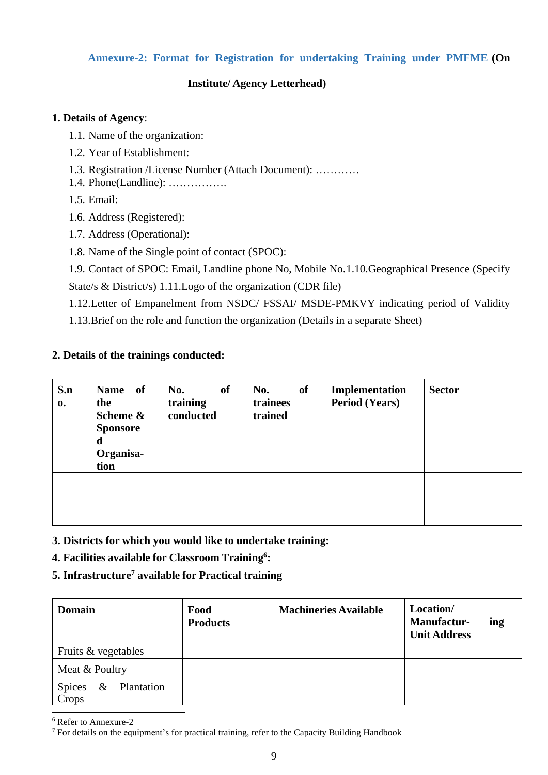## <span id="page-9-0"></span>**Annexure-2: Format for Registration for undertaking Training under PMFME (On**

## **Institute/ Agency Letterhead)**

#### **1. Details of Agency**:

- 1.1. Name of the organization:
- 1.2. Year of Establishment:
- 1.3. Registration /License Number (Attach Document): …………
- 1.4. Phone(Landline): …………….
- 1.5. Email:
- 1.6. Address (Registered):
- 1.7. Address (Operational):
- 1.8. Name of the Single point of contact (SPOC):
- 1.9. Contact of SPOC: Email, Landline phone No, Mobile No.1.10.Geographical Presence (Specify
- State/s & District/s) 1.11.Logo of the organization (CDR file)
- 1.12.Letter of Empanelment from NSDC/ FSSAI/ MSDE-PMKVY indicating period of Validity
- 1.13.Brief on the role and function the organization (Details in a separate Sheet)

## **2. Details of the trainings conducted:**

| S.n<br>0. | Name of<br>the<br>Scheme &<br><b>Sponsore</b><br>d<br>Organisa-<br>tion | of<br>No.<br>training<br>conducted | No.<br>of<br>trainees<br>trained | Implementation<br><b>Period (Years)</b> | <b>Sector</b> |
|-----------|-------------------------------------------------------------------------|------------------------------------|----------------------------------|-----------------------------------------|---------------|
|           |                                                                         |                                    |                                  |                                         |               |
|           |                                                                         |                                    |                                  |                                         |               |
|           |                                                                         |                                    |                                  |                                         |               |

- **3. Districts for which you would like to undertake training:**
- **4. Facilities available for Classroom Training<sup>6</sup> :**
- **5. Infrastructure<sup>7</sup> available for Practical training**

| <b>Domain</b>                                | Food<br><b>Products</b> | <b>Machineries Available</b> | Location/<br>Manufactur-<br>ing<br><b>Unit Address</b> |
|----------------------------------------------|-------------------------|------------------------------|--------------------------------------------------------|
| Fruits & vegetables                          |                         |                              |                                                        |
| Meat & Poultry                               |                         |                              |                                                        |
| <b>Spices</b><br>Plantation<br>$\&$<br>Crops |                         |                              |                                                        |

<sup>6</sup> Refer to Annexure-2

<sup>7</sup> For details on the equipment's for practical training, refer to the Capacity Building Handbook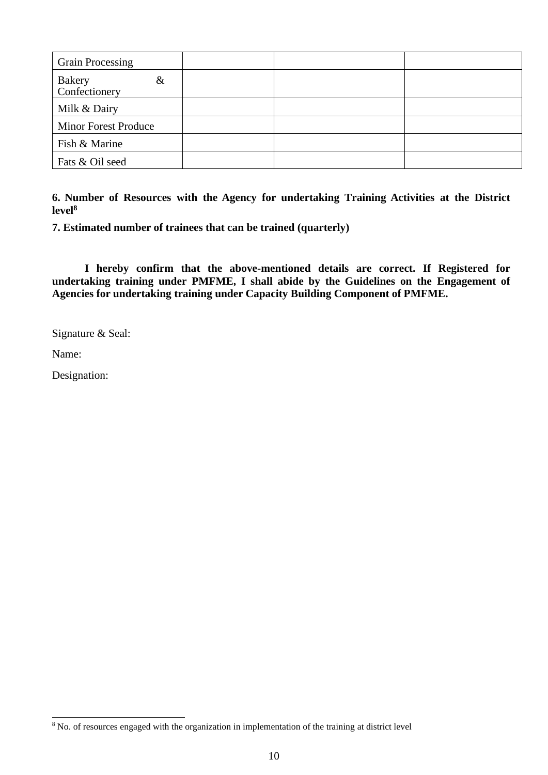| <b>Grain Processing</b>                |  |  |
|----------------------------------------|--|--|
| <b>Bakery</b><br>$\&$<br>Confectionery |  |  |
| Milk & Dairy                           |  |  |
| <b>Minor Forest Produce</b>            |  |  |
| Fish & Marine                          |  |  |
| Fats & Oil seed                        |  |  |

**6. Number of Resources with the Agency for undertaking Training Activities at the District level<sup>8</sup>**

**7. Estimated number of trainees that can be trained (quarterly)**

**I hereby confirm that the above-mentioned details are correct. If Registered for undertaking training under PMFME, I shall abide by the Guidelines on the Engagement of Agencies for undertaking training under Capacity Building Component of PMFME.**

Signature & Seal:

Name:

Designation:

<sup>&</sup>lt;sup>8</sup> No. of resources engaged with the organization in implementation of the training at district level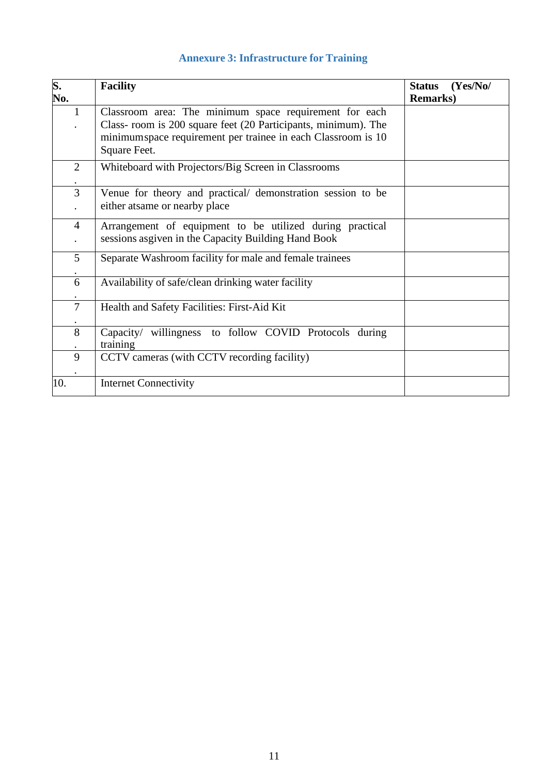# **Annexure 3: Infrastructure for Training**

<span id="page-11-0"></span>

| S.             | <b>Facility</b>                                                | (Yes/No/<br><b>Status</b> |
|----------------|----------------------------------------------------------------|---------------------------|
| No.            |                                                                | <b>Remarks</b> )          |
| 1              | Classroom area: The minimum space requirement for each         |                           |
|                | Class- room is 200 square feet (20 Participants, minimum). The |                           |
|                | minimum space requirement per trainee in each Classroom is 10  |                           |
|                | Square Feet.                                                   |                           |
| $\overline{2}$ | Whiteboard with Projectors/Big Screen in Classrooms            |                           |
|                |                                                                |                           |
| $\overline{3}$ | Venue for theory and practical/ demonstration session to be    |                           |
|                | either atsame or nearby place                                  |                           |
| $\overline{4}$ | Arrangement of equipment to be utilized during practical       |                           |
|                | sessions asgiven in the Capacity Building Hand Book            |                           |
| 5              | Separate Washroom facility for male and female trainees        |                           |
|                |                                                                |                           |
| 6              | Availability of safe/clean drinking water facility             |                           |
| $\overline{7}$ | Health and Safety Facilities: First-Aid Kit                    |                           |
|                |                                                                |                           |
| 8              | Capacity/ willingness to follow COVID Protocols during         |                           |
|                | training                                                       |                           |
| 9              | CCTV cameras (with CCTV recording facility)                    |                           |
|                |                                                                |                           |
| 10.            | <b>Internet Connectivity</b>                                   |                           |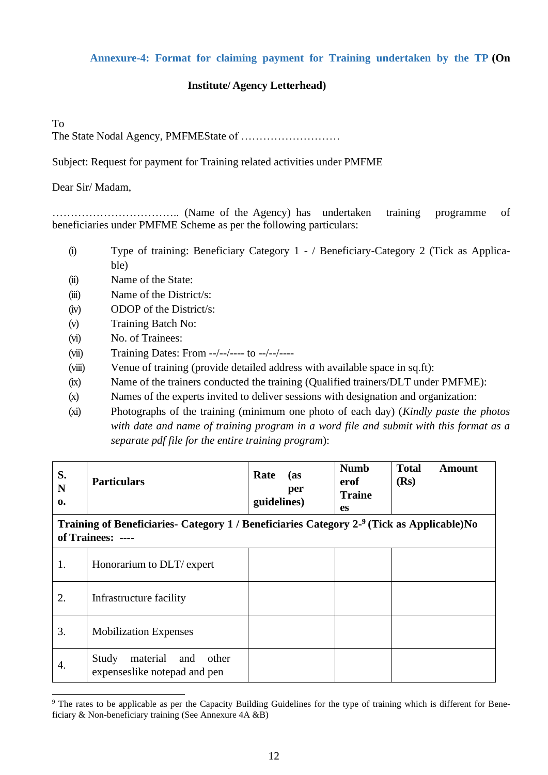## <span id="page-12-0"></span>**Annexure-4: Format for claiming payment for Training undertaken by the TP (On**

#### **Institute/ Agency Letterhead)**

#### To

The State Nodal Agency, PMFMEState of ………………………

Subject: Request for payment for Training related activities under PMFME

Dear Sir/ Madam,

…………………………….. (Name of the Agency) has undertaken training programme of beneficiaries under PMFME Scheme as per the following particulars:

- (i) Type of training: Beneficiary Category 1 / Beneficiary-Category 2 (Tick as Applicable)
- (ii) Name of the State:
- (iii) Name of the District/s:
- (iv) ODOP of the District/s:
- (v) Training Batch No:
- (vi) No. of Trainees:
- (vii) Training Dates: From --/--/---- to --/--/----
- (viii) Venue of training (provide detailed address with available space in sq.ft):
- (ix) Name of the trainers conducted the training (Qualified trainers/DLT under PMFME):
- (x) Names of the experts invited to deliver sessions with designation and organization:
- (xi) Photographs of the training (minimum one photo of each day) (*Kindly paste the photos with date and name of training program in a word file and submit with this format as a separate pdf file for the entire training program*):

| S.<br>N<br>0. | <b>Particulars</b>                                                                                             | Rate<br>(as<br>per<br>guidelines) | <b>Numb</b><br>erof<br><b>Traine</b><br><b>es</b> | <b>Total</b><br>Amount<br>(Rs) |
|---------------|----------------------------------------------------------------------------------------------------------------|-----------------------------------|---------------------------------------------------|--------------------------------|
|               | Training of Beneficiaries- Category 1 / Beneficiaries Category 2-9 (Tick as Applicable)No<br>of Trainees: ---- |                                   |                                                   |                                |
| 1.            | Honorarium to DLT/ expert                                                                                      |                                   |                                                   |                                |
| 2.            | Infrastructure facility                                                                                        |                                   |                                                   |                                |
| 3.            | <b>Mobilization Expenses</b>                                                                                   |                                   |                                                   |                                |
| 4.            | material<br>Study<br>and<br>other<br>expenses like notepad and pen                                             |                                   |                                                   |                                |

<sup>&</sup>lt;sup>9</sup> The rates to be applicable as per the Capacity Building Guidelines for the type of training which is different for Beneficiary & Non-beneficiary training (See Annexure 4A &B)